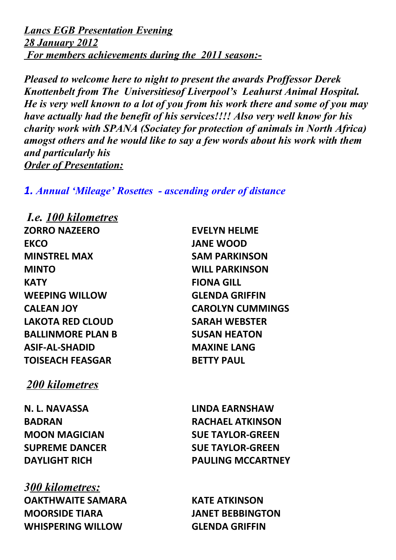*Lancs EGB Presentation Evening 28 January 2012 For members achievements during the 2011 season:-*

*Pleased to welcome here to night to present the awards Proffessor Derek Knottenbelt from The Universitiesof Liverpool's Leahurst Animal Hospital. He is very well known to a lot of you from his work there and some of you may have actually had the benefit of his services!!!! Also very well know for his charity work with SPANA (Sociatey for protection of animals in North Africa) amogst others and he would like to say a few words about his work with them and particularly his Order of Presentation:*

*1. Annual 'Mileage' Rosettes - ascending order of distance* 

 *I.e. 100 kilometres* **ZORRO NAZEERO EVELYN HELME EKCO JANE WOOD MINSTREL MAX SAM PARKINSON MINTO WILL PARKINSON KATY FIONA GILL WEEPING WILLOW GLENDA GRIFFIN LAKOTA RED CLOUD SARAH WEBSTER BALLINMORE PLAN B SUSAN HEATON ASIF-AL-SHADID MAXINE LANG TOISEACH FEASGAR BETTY PAUL** 

*200 kilometres*

*300 kilometres:* **OAKTHWAITE SAMARA KATE ATKINSON MOORSIDE TIARA JANET BEBBINGTON WHISPERING WILLOW GLENDA GRIFFIN**

**CALEAN JOY CAROLYN CUMMINGS**

**N. L. NAVASSA LINDA EARNSHAW BADRAN RACHAEL ATKINSON MOON MAGICIAN SUE TAYLOR-GREEN SUPREME DANCER SUE TAYLOR-GREEN DAYLIGHT RICH PAULING MCCARTNEY**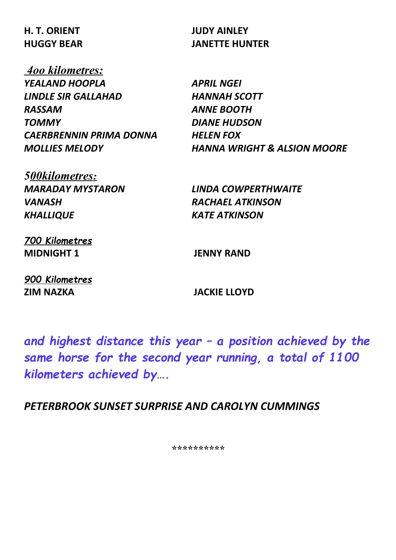# **H. T. ORIENT JUDY AINLEY**

 *4oo kilometres: YEALAND HOOPLA APRIL NGEI LINDLE SIR GALLAHAD HANNAH SCOTT RASSAM ANNE BOOTH TOMMY DIANE HUDSON CAERBRENNIN PRIMA DONNA HELEN FOX*

**HUGGY BEAR JANETTE HUNTER**

*MOLLIES MELODY HANNA WRIGHT & ALSION MOORE*

*MARADAY MYSTARON LINDA COWPERTHWAITE VANASH RACHAEL ATKINSON KHALLIQUE KATE ATKINSON*

*700 Kilometres* **MIDNIGHT 1 JENNY RAND**

*5 00kilometres:*

*900 Kilometres* **ZIM NAZKA JACKIE LLOYD**

*and highest distance this year – a position achieved by the* same horse for the second year running, a total of 1100 *kilometers achieved by….*

*PETERBROOK SUNSET SURPRISE AND CAROLYN CUMMINGS*

*\*\*\*\*\*\*\*\*\*\**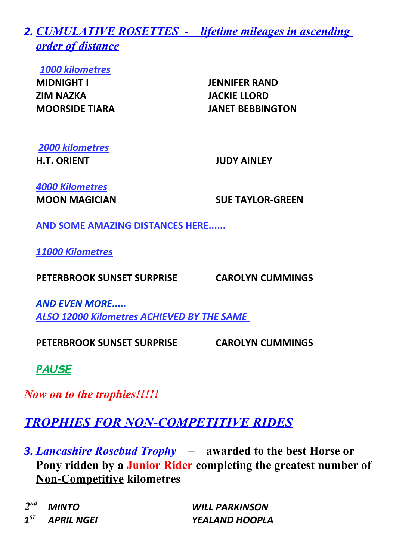*2. CUMULATIVE ROSETTES - lifetime mileages in ascending order of distance*

*1000 kilometres*

**MIDNIGHT I JENNIFER RAND ZIM NAZKA JACKIE LLORD**

**MOORSIDE TIARA JANET BEBBINGTON**

*2000 kilometres*

**H.T. ORIENT JUDY AINLEY**

*4000 Kilometres*

**MOON MAGICIAN SUE TAYLOR-GREEN**

**AND SOME AMAZING DISTANCES HERE......**

*11000 Kilometres*

**PETERBROOK SUNSET SURPRISE CAROLYN CUMMINGS**

*AND EVEN MORE..... ALSO 12000 Kilometres ACHIEVED BY THE SAME* 

**PETERBROOK SUNSET SURPRISE CAROLYN CUMMINGS**

*PAUSE*

*Now on to the trophies!!!!!*

## *TROPHIES FOR NON-COMPETITIVE RIDES*

*3. Lancashire Rosebud Trophy –* **awarded to the best Horse or Pony ridden by a Junior Rider completing the greatest number of Non-Competitive kilometres** 

 $2<sup>nd</sup>$  $1^{ST}$ 

*nd MINTO WILL PARKINSON ST APRIL NGEI YEALAND HOOPLA*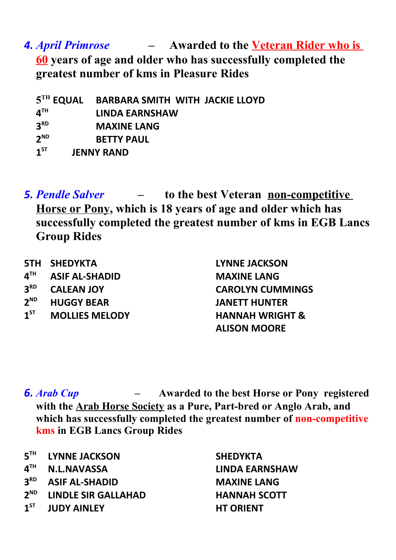*4. April Primrose –* **Awarded to the Veteran Rider who is 60 years of age and older who has successfully completed the greatest number of kms in Pleasure Rides**

 $5^{TH}$  **EQUAL BARBARA SMITH WITH JACKIE LLOYD 4 TH LINDA EARNSHAW 3 MAXINE LANG 2 BETTY PAUL 1**<sup>ST</sup> **JENNY RAND** 

*5. Pendle Salver –* **to the best Veteran non-competitive Horse or Pony, which is 18 years of age and older which has successfully completed the greatest number of kms in EGB Lancs Group Rides**

|                 | <b>5TH SHEDYKTA</b>   | <b>LYNNE JACKSON</b>       |
|-----------------|-----------------------|----------------------------|
| $4^{\text{TH}}$ | <b>ASIF AL-SHADID</b> | <b>MAXINE LANG</b>         |
| 3 <sup>RD</sup> | <b>CALEAN JOY</b>     | <b>CAROLYN CUMMINGS</b>    |
| $2^{ND}$        | <b>HUGGY BEAR</b>     | <b>JANETT HUNTER</b>       |
| $1^{ST}$        | <b>MOLLIES MELODY</b> | <b>HANNAH WRIGHT &amp;</b> |
|                 |                       | <b>ALISON MOORE</b>        |

- *6. Arab Cup* **Awarded to the best Horse or Pony registered with the Arab Horse Society as a Pure, Part-bred or Anglo Arab, and which has successfully completed the greatest number of non-competitive kms in EGB Lancs Group Rides**
- **5 THE SHEDYKTA SHEDYKTA**
- $4^{TH}$
- **3 RD ASIF AL-SHADID MAXINE LANG**
- 2<sup>ND</sup> **ND LINDLE SIR GALLAHAD HANNAH SCOTT**
- **1**<sup>ST</sup> **ST JUDY AINLEY HT ORIENT**

**TH N.L.NAVASSA LINDA EARNSHAW**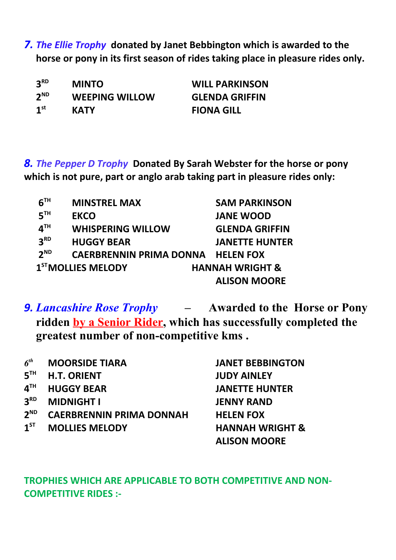*7. The Ellie Trophy* **donated by Janet Bebbington which is awarded to the horse or pony in its first season of rides taking place in pleasure rides only.**

| 3 <sup>RD</sup> | <b>MINTO</b>          | <b>WILL PARKINSON</b> |
|-----------------|-----------------------|-----------------------|
| $2^{ND}$        | <b>WEEPING WILLOW</b> | <b>GLENDA GRIFFIN</b> |
| 1 <sup>st</sup> | <b>KATY</b>           | <b>FIONA GILL</b>     |

*8. The Pepper D Trophy* **Donated By Sarah Webster for the horse or pony which is not pure, part or anglo arab taking part in pleasure rides only:**

| $6^{\texttt{TH}}$ | <b>MINSTREL MAX</b>                      | <b>SAM PARKINSON</b>       |
|-------------------|------------------------------------------|----------------------------|
| 5 <sup>TH</sup>   | <b>EKCO</b>                              | <b>JANE WOOD</b>           |
| $4^{\text{TH}}$   | <b>WHISPERING WILLOW</b>                 | <b>GLENDA GRIFFIN</b>      |
| 3 <sup>RD</sup>   | <b>HUGGY BEAR</b>                        | <b>JANETTE HUNTER</b>      |
| $2^{ND}$          | <b>CAERBRENNIN PRIMA DONNA HELEN FOX</b> |                            |
|                   | 1 <sup>ST</sup> MOLLIES MELODY           | <b>HANNAH WRIGHT &amp;</b> |
|                   |                                          | <b>ALISON MOORE</b>        |

*9. Lancashire Rose Trophy –* **Awarded to the Horse or Pony ridden by a Senior Rider, which has successfully completed the greatest number of non-competitive kms .**

| 6 <sup>th</sup> | <b>MOORSIDE TIARA</b>           | <b>JANET BEBBINGTON</b>    |
|-----------------|---------------------------------|----------------------------|
| 5 <sup>TH</sup> | <b>H.T. ORIENT</b>              | <b>JUDY AINLEY</b>         |
| 4 <sup>TH</sup> | <b>HUGGY BEAR</b>               | <b>JANETTE HUNTER</b>      |
| 3 <sup>RD</sup> | <b>MIDNIGHT I</b>               | <b>JENNY RAND</b>          |
| $2^{ND}$        | <b>CAERBRENNIN PRIMA DONNAH</b> | <b>HELEN FOX</b>           |
| $1^{ST}$        | <b>MOLLIES MELODY</b>           | <b>HANNAH WRIGHT &amp;</b> |
|                 |                                 | <b>ALISON MOORE</b>        |

### **TROPHIES WHICH ARE APPLICABLE TO BOTH COMPETITIVE AND NON-COMPETITIVE RIDES :-**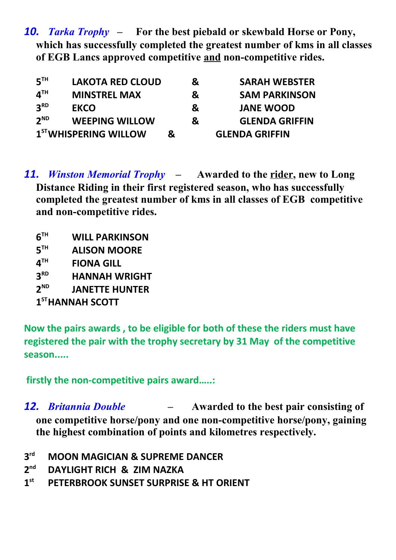*10. Tarka Trophy –* **For the best piebald or skewbald Horse or Pony, which has successfully completed the greatest number of kms in all classes of EGB Lancs approved competitive and non-competitive rides.**

| 5 <sup>TH</sup>                | <b>LAKOTA RED CLOUD</b>           |   | & | <b>SARAH WEBSTER</b>  |
|--------------------------------|-----------------------------------|---|---|-----------------------|
| $\mathbf{\Lambda}^{\text{TH}}$ | <b>MINSTREL MAX</b>               |   | & | <b>SAM PARKINSON</b>  |
| 3 <sup>RD</sup>                | <b>EKCO</b>                       |   | & | <b>JANE WOOD</b>      |
| $2^{ND}$                       | <b>WEEPING WILLOW</b>             |   | & | <b>GLENDA GRIFFIN</b> |
|                                | 1 <sup>ST</sup> WHISPERING WILLOW | & |   | <b>GLENDA GRIFFIN</b> |

- *11. Winston Memorial Trophy* **Awarded to the rider, new to Long Distance Riding in their first registered season, who has successfully completed the greatest number of kms in all classes of EGB competitive and non-competitive rides.** 
	- **6 WILL PARKINSON**
	- **5 ALISON MOORE**
	- $4^{TH}$ **FIONA GILL**
	- **3 RD HANNAH WRIGHT**
	- **2 ND JANETTE HUNTER**
	- **1 STHANNAH SCOTT**

**Now the pairs awards , to be eligible for both of these the riders must have registered the pair with the trophy secretary by 31 May of the competitive season.....**

 **firstly the non-competitive pairs award…..:**

- *12. Britannia Double* **Awarded to the best pair consisting of one competitive horse/pony and one non-competitive horse/pony, gaining the highest combination of points and kilometres respectively.**
- **3 rd MOON MAGICIAN & SUPREME DANCER**
- **2 nd DAYLIGHT RICH & ZIM NAZKA**
- **1 st PETERBROOK SUNSET SURPRISE & HT ORIENT**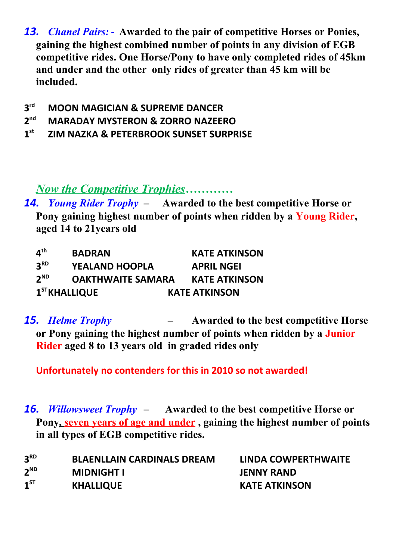- *13. Chanel Pairs:* **Awarded to the pair of competitive Horses or Ponies, gaining the highest combined number of points in any division of EGB competitive rides. One Horse/Pony to have only completed rides of 45km and under and the other only rides of greater than 45 km will be included.**
- **3 rd MOON MAGICIAN & SUPREME DANCER**
- **2 nd MARADAY MYSTERON & ZORRO NAZEERO**
- **1 st ZIM NAZKA & PETERBROOK SUNSET SURPRISE**

*Now the Competitive Trophies…………*

*14. Young Rider Trophy –* **Awarded to the best competitive Horse or Pony gaining highest number of points when ridden by a Young Rider, aged 14 to 21years old** 

| $\mathbf{A}^{\text{th}}$ | <b>BADRAN</b>            | <b>KATE ATKINSON</b> |
|--------------------------|--------------------------|----------------------|
| 3 <sup>RD</sup>          | <b>YEALAND HOOPLA</b>    | <b>APRIL NGEI</b>    |
| $2^{ND}$                 | <b>OAKTHWAITE SAMARA</b> | <b>KATE ATKINSON</b> |
| $1ST$ KHALLIQUE          |                          | <b>KATE ATKINSON</b> |

*15. Helme Trophy –* **Awarded to the best competitive Horse or Pony gaining the highest number of points when ridden by a Junior Rider aged 8 to 13 years old in graded rides only**

**Unfortunately no contenders for this in 2010 so not awarded!**

*16. Willowsweet Trophy –* **Awarded to the best competitive Horse or**  Pony, seven years of age and under, gaining the highest number of points **in all types of EGB competitive rides.** 

| 3 <sup>RD</sup> | <b>BLAENLLAIN CARDINALS DREAM</b> | LINDA COWPERTHWAITE  |
|-----------------|-----------------------------------|----------------------|
| $2^{ND}$        | <b>MIDNIGHT I</b>                 | <b>JENNY RAND</b>    |
| 1 <sup>ST</sup> | <b>KHALLIQUE</b>                  | <b>KATE ATKINSON</b> |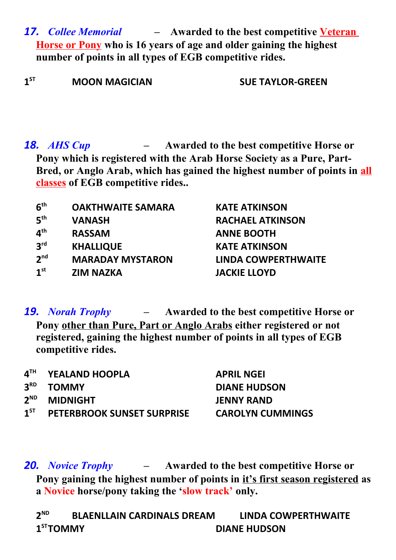- *17. Collee Memorial* **Awarded to the best competitive Veteran Horse or Pony who is 16 years of age and older gaining the highest number of points in all types of EGB competitive rides.**
- **1**<sup>ST</sup> **ST MOON MAGICIAN SUE TAYLOR-GREEN**

*18. AHS Cup –* **Awarded to the best competitive Horse or Pony which is registered with the Arab Horse Society as a Pure, Part-Bred, or Anglo Arab, which has gained the highest number of points in all classes of EGB competitive rides..** 

| 6 <sup>th</sup> | <b>OAKTHWAITE SAMARA</b> | <b>KATE ATKINSON</b>       |
|-----------------|--------------------------|----------------------------|
| 5 <sup>th</sup> | <b>VANASH</b>            | <b>RACHAEL ATKINSON</b>    |
| 4 <sup>th</sup> | <b>RASSAM</b>            | <b>ANNE BOOTH</b>          |
| 3 <sup>rd</sup> | <b>KHALLIQUE</b>         | <b>KATE ATKINSON</b>       |
| 2 <sub>nd</sub> | <b>MARADAY MYSTARON</b>  | <b>LINDA COWPERTHWAITE</b> |
| 1 <sup>st</sup> | <b>ZIM NAZKA</b>         | <b>JACKIE LLOYD</b>        |

*19. Norah Trophy –* **Awarded to the best competitive Horse or Pony other than Pure, Part or Anglo Arabs either registered or not registered, gaining the highest number of points in all types of EGB competitive rides.** 

|          | 4TH YEALAND HOOPLA                | <b>APRIL NGEI</b>       |
|----------|-----------------------------------|-------------------------|
|          | 3 <sup>RD</sup> TOMMY             | <b>DIANE HUDSON</b>     |
|          | 2 <sup>ND</sup> MIDNIGHT          | <b>JENNY RAND</b>       |
| $1^{ST}$ | <b>PETERBROOK SUNSET SURPRISE</b> | <b>CAROLYN CUMMINGS</b> |
|          |                                   |                         |

*20. Novice Trophy –* **Awarded to the best competitive Horse or Pony gaining the highest number of points in it's first season registered as a Novice horse/pony taking the 'slow track' only.**

 $2^{ND}$ **ND BLAENLLAIN CARDINALS DREAM LINDA COWPERTHWAITE** 1<sup>ST</sup>TOMMY **STTOMMY DIANE HUDSON**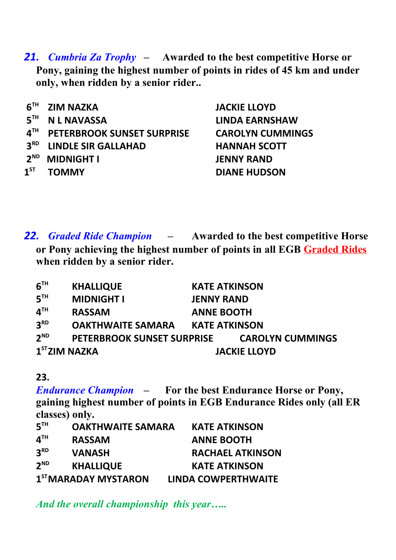*21. Cumbria Za Trophy –* **Awarded to the best competitive Horse or Pony, gaining the highest number of points in rides of 45 km and under only, when ridden by a senior rider..**

| 6 <sup>TH</sup>   | <b>ZIM NAZKA</b>                  | <b>JACKIE LLOYD</b>     |
|-------------------|-----------------------------------|-------------------------|
| 5 <sup>TH</sup>   | <b>N L NAVASSA</b>                | <b>LINDA EARNSHAW</b>   |
| $4^{\texttt{TH}}$ | <b>PETERBROOK SUNSET SURPRISE</b> | <b>CAROLYN CUMMINGS</b> |
| 3 <sup>RD</sup>   | <b>LINDLE SIR GALLAHAD</b>        | <b>HANNAH SCOTT</b>     |
| $2^{ND}$          | <b>MIDNIGHT I</b>                 | <b>JENNY RAND</b>       |
| $1^{ST}$          | <b>TOMMY</b>                      | <b>DIANE HUDSON</b>     |

*22. Graded Ride Champion –* **Awarded to the best competitive Horse or Pony achieving the highest number of points in all EGB Graded Rides when ridden by a senior rider.** 

| 6 <sup>TH</sup> | <b>KHALLIQUE</b>                  | <b>KATE ATKINSON</b> |                         |
|-----------------|-----------------------------------|----------------------|-------------------------|
| 5 <sup>TH</sup> | <b>MIDNIGHT I</b>                 | <b>JENNY RAND</b>    |                         |
| 4 <sup>TH</sup> | <b>RASSAM</b>                     | <b>ANNE BOOTH</b>    |                         |
| 3 <sup>RD</sup> | <b>OAKTHWAITE SAMARA</b>          | <b>KATE ATKINSON</b> |                         |
| $2^{ND}$        | <b>PETERBROOK SUNSET SURPRISE</b> |                      | <b>CAROLYN CUMMINGS</b> |
| $1ST$ ZIM NAZKA |                                   |                      | <b>JACKIE LLOYD</b>     |

### **23.**

*Endurance Champion –* **For the best Endurance Horse or Pony, gaining highest number of points in EGB Endurance Rides only (all ER classes) only.** 

| 5 <sup>TH</sup>            | <b>OAKTHWAITE SAMARA</b>         | <b>KATE ATKINSON</b>       |
|----------------------------|----------------------------------|----------------------------|
| $\mathbf{A}^{\mathsf{TH}}$ | <b>RASSAM</b>                    | <b>ANNE BOOTH</b>          |
| 3 <sup>RD</sup>            | <b>VANASH</b>                    | <b>RACHAEL ATKINSON</b>    |
| $2^{ND}$                   | <b>KHALLIQUE</b>                 | <b>KATE ATKINSON</b>       |
|                            | 1 <sup>ST</sup> MARADAY MYSTARON | <b>LINDA COWPERTHWAITE</b> |

*And the overall championship this year…..*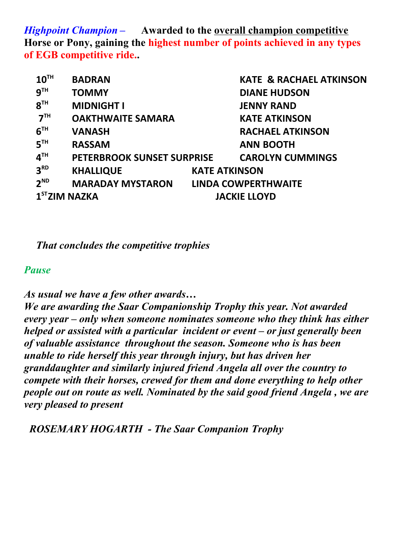*Highpoint Champion –* **Awarded to the overall champion competitive Horse or Pony, gaining the highest number of points achieved in any types of EGB competitive ride..**

| 10 <sup>TH</sup>          | <b>BADRAN</b>                               |                      | <b>KATE &amp; RACHAEL ATKINSON</b> |
|---------------------------|---------------------------------------------|----------------------|------------------------------------|
| 9 <sup>TH</sup>           | <b>TOMMY</b>                                |                      | <b>DIANE HUDSON</b>                |
| 8 <sup>TH</sup>           | <b>MIDNIGHT I</b>                           |                      | <b>JENNY RAND</b>                  |
| 7 <sup>TH</sup>           | <b>OAKTHWAITE SAMARA</b>                    |                      | <b>KATE ATKINSON</b>               |
| 6 <sup>TH</sup>           | <b>VANASH</b>                               |                      | <b>RACHAEL ATKINSON</b>            |
| 5 <sup>TH</sup>           | <b>RASSAM</b>                               |                      | <b>ANN BOOTH</b>                   |
| 4 <sup>TH</sup>           | PETERBROOK SUNSET SURPRISE                  |                      | <b>CAROLYN CUMMINGS</b>            |
| 3 <sup>RD</sup>           | <b>KHALLIQUE</b>                            | <b>KATE ATKINSON</b> |                                    |
| $2^{ND}$                  | <b>MARADAY MYSTARON LINDA COWPERTHWAITE</b> |                      |                                    |
| 1 <sup>ST</sup> ZIM NAZKA |                                             | <b>JACKIE LLOYD</b>  |                                    |

*That concludes the competitive trophies* 

#### *Pause*

*As usual we have a few other awards…*

*We are awarding the Saar Companionship Trophy this year. Not awarded every year – only when someone nominates someone who they think has either helped or assisted with a particular incident or event – or just generally been of valuable assistance throughout the season. Someone who is has been unable to ride herself this year through injury, but has driven her granddaughter and similarly injured friend Angela all over the country to compete with their horses, crewed for them and done everything to help other people out on route as well. Nominated by the said good friend Angela , we are very pleased to present*

 *ROSEMARY HOGARTH - The Saar Companion Trophy*